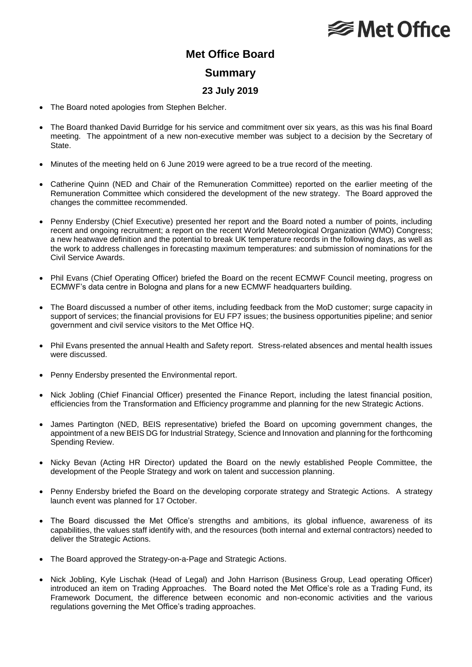## **<del></del>** Met Office

## **Met Office Board Summary**

## **23 July 2019**

- The Board noted apologies from Stephen Belcher.
- The Board thanked David Burridge for his service and commitment over six years, as this was his final Board meeting. The appointment of a new non-executive member was subject to a decision by the Secretary of State.
- Minutes of the meeting held on 6 June 2019 were agreed to be a true record of the meeting.
- Catherine Quinn (NED and Chair of the Remuneration Committee) reported on the earlier meeting of the Remuneration Committee which considered the development of the new strategy. The Board approved the changes the committee recommended.
- Penny Endersby (Chief Executive) presented her report and the Board noted a number of points, including recent and ongoing recruitment; a report on the recent World Meteorological Organization (WMO) Congress; a new heatwave definition and the potential to break UK temperature records in the following days, as well as the work to address challenges in forecasting maximum temperatures: and submission of nominations for the Civil Service Awards.
- Phil Evans (Chief Operating Officer) briefed the Board on the recent ECMWF Council meeting, progress on ECMWF's data centre in Bologna and plans for a new ECMWF headquarters building.
- The Board discussed a number of other items, including feedback from the MoD customer; surge capacity in support of services; the financial provisions for EU FP7 issues; the business opportunities pipeline; and senior government and civil service visitors to the Met Office HQ.
- Phil Evans presented the annual Health and Safety report. Stress-related absences and mental health issues were discussed.
- Penny Endersby presented the Environmental report.
- Nick Jobling (Chief Financial Officer) presented the Finance Report, including the latest financial position, efficiencies from the Transformation and Efficiency programme and planning for the new Strategic Actions.
- James Partington (NED, BEIS representative) briefed the Board on upcoming government changes, the appointment of a new BEIS DG for Industrial Strategy, Science and Innovation and planning for the forthcoming Spending Review.
- Nicky Bevan (Acting HR Director) updated the Board on the newly established People Committee, the development of the People Strategy and work on talent and succession planning.
- Penny Endersby briefed the Board on the developing corporate strategy and Strategic Actions. A strategy launch event was planned for 17 October.
- The Board discussed the Met Office's strengths and ambitions, its global influence, awareness of its capabilities, the values staff identify with, and the resources (both internal and external contractors) needed to deliver the Strategic Actions.
- The Board approved the Strategy-on-a-Page and Strategic Actions.
- Nick Jobling, Kyle Lischak (Head of Legal) and John Harrison (Business Group, Lead operating Officer) introduced an item on Trading Approaches. The Board noted the Met Office's role as a Trading Fund, its Framework Document, the difference between economic and non-economic activities and the various regulations governing the Met Office's trading approaches.